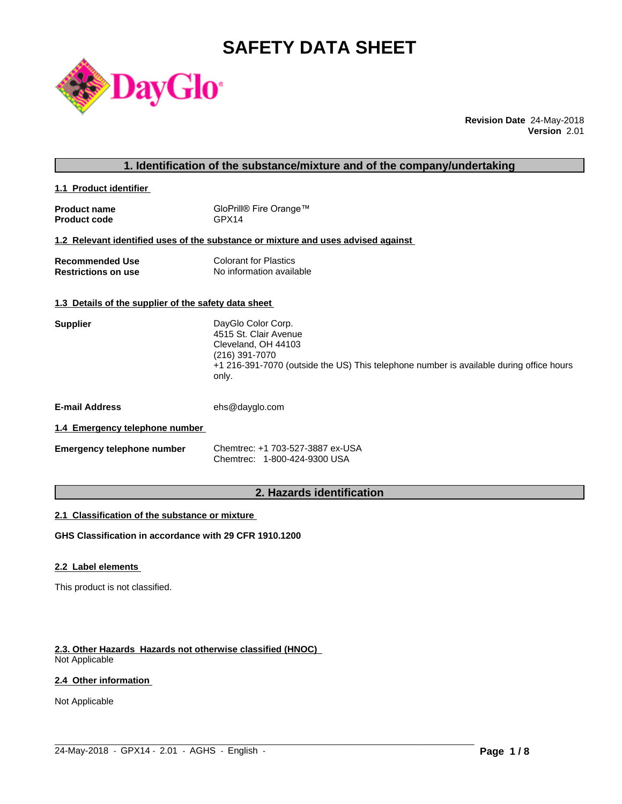# **SAFETY DATA SHEET**



**Revision Date** 24-May-2018 **Version** 2.01

# **1. Identification of the substance/mixture and of the company/undertaking**

**1.1 Product identifier** 

| <b>Product name</b> | GloPrill® Fire Orange™ |
|---------------------|------------------------|
| <b>Product code</b> | GPX14                  |

#### **1.2 Relevant identified uses of the substance or mixture and uses advised against**

| <b>Recommended Use</b>     | <b>Colorant for Plastics</b> |
|----------------------------|------------------------------|
| <b>Restrictions on use</b> | No information available     |

#### **1.3 Details of the supplier of the safety data sheet**

| <b>Supplier</b> | DayGlo Color Corp.                                                                               |
|-----------------|--------------------------------------------------------------------------------------------------|
|                 | 4515 St. Clair Avenue                                                                            |
|                 | Cleveland, OH 44103                                                                              |
|                 | (216) 391-7070                                                                                   |
|                 | +1 216-391-7070 (outside the US) This telephone number is available during office hours<br>only. |
|                 |                                                                                                  |

**E-mail Address** ehs@dayglo.com

#### **1.4 Emergency telephone number**

| <b>Emergency telephone number</b> | Chemtrec: +1 703-527-3887 ex-USA |
|-----------------------------------|----------------------------------|
|                                   | Chemtrec: 1-800-424-9300 USA     |

# **2. Hazards identification**

 $\_$  ,  $\_$  ,  $\_$  ,  $\_$  ,  $\_$  ,  $\_$  ,  $\_$  ,  $\_$  ,  $\_$  ,  $\_$  ,  $\_$  ,  $\_$  ,  $\_$  ,  $\_$  ,  $\_$  ,  $\_$  ,  $\_$  ,  $\_$  ,  $\_$  ,  $\_$  ,  $\_$  ,  $\_$  ,  $\_$  ,  $\_$  ,  $\_$  ,  $\_$  ,  $\_$  ,  $\_$  ,  $\_$  ,  $\_$  ,  $\_$  ,  $\_$  ,  $\_$  ,  $\_$  ,  $\_$  ,  $\_$  ,  $\_$  ,

#### **2.1 Classification of the substance or mixture**

**GHS Classification in accordance with 29 CFR 1910.1200**

#### **2.2 Label elements**

This product is not classified.

#### **2.3. Other Hazards Hazards not otherwise classified (HNOC)**

Not Applicable

#### **2.4 Other information**

Not Applicable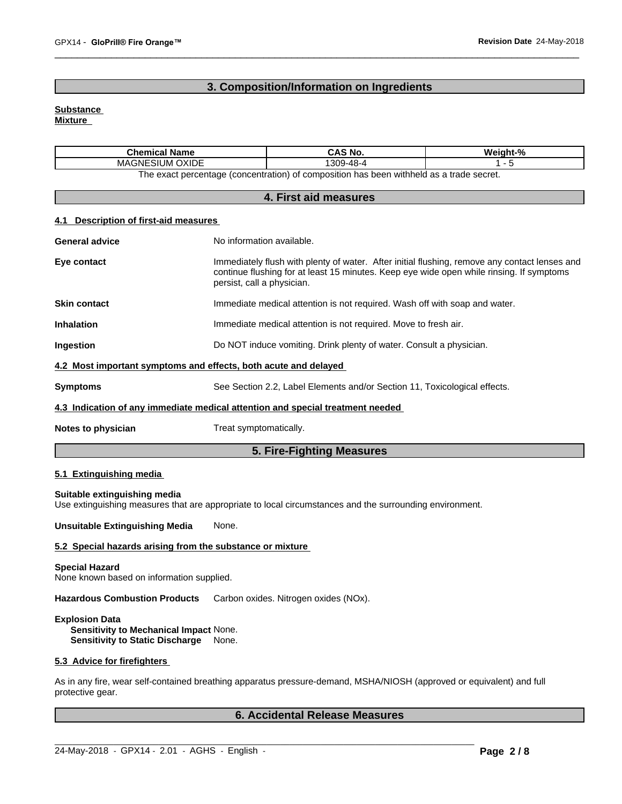# **3. Composition/Information on Ingredients**

#### **Substance**

**Mixture**

| <b>Chemical Name</b>                                                                                        | CAS No.   | Weight-% |  |  |  |
|-------------------------------------------------------------------------------------------------------------|-----------|----------|--|--|--|
| OXIDE<br>MAGNE:<br>⊵SIUM (⊺                                                                                 | 1309-48-4 |          |  |  |  |
| $\alpha$ has been withheld as a trade secret.<br>t percentage (concentration) of composition i.<br>he exact |           |          |  |  |  |

|                                       | 4. First aid measures                                                                                                                                                                                                   |
|---------------------------------------|-------------------------------------------------------------------------------------------------------------------------------------------------------------------------------------------------------------------------|
| 4.1 Description of first-aid measures |                                                                                                                                                                                                                         |
| <b>General advice</b>                 | No information available.                                                                                                                                                                                               |
| Eye contact                           | Immediately flush with plenty of water. After initial flushing, remove any contact lenses and<br>continue flushing for at least 15 minutes. Keep eye wide open while rinsing. If symptoms<br>persist, call a physician. |
| <b>Skin contact</b>                   | Immediate medical attention is not required. Wash off with soap and water.                                                                                                                                              |
| <b>Inhalation</b>                     | Immediate medical attention is not required. Move to fresh air.                                                                                                                                                         |
| Ingestion                             | Do NOT induce vomiting. Drink plenty of water. Consult a physician.                                                                                                                                                     |
|                                       | 4.2 Most important symptoms and effects, both acute and delayed                                                                                                                                                         |
| <b>Symptoms</b>                       | See Section 2.2, Label Elements and/or Section 11, Toxicological effects.                                                                                                                                               |
|                                       | 4.3 Indication of any immediate medical attention and special treatment needed                                                                                                                                          |
| Notes to physician                    | Treat symptomatically.                                                                                                                                                                                                  |
|                                       | 5. Fire-Fighting Measures                                                                                                                                                                                               |

#### **5.1 Extinguishing media**

**Suitable extinguishing media** Use extinguishing measures that are appropriate to local circumstances and the surrounding environment.

**Unsuitable Extinguishing Media** None.

#### **5.2 Special hazards arising from the substance or mixture**

#### **Special Hazard**

None known based on information supplied.

**Hazardous Combustion Products** Carbon oxides. Nitrogen oxides (NOx).

#### **Explosion Data**

**Sensitivity to Mechanical Impact** None. **Sensitivity to Static Discharge** None.

#### **5.3 Advice for firefighters**

As in any fire, wear self-contained breathing apparatus pressure-demand, MSHA/NIOSH (approved or equivalent) and full protective gear.

 $\_$  ,  $\_$  ,  $\_$  ,  $\_$  ,  $\_$  ,  $\_$  ,  $\_$  ,  $\_$  ,  $\_$  ,  $\_$  ,  $\_$  ,  $\_$  ,  $\_$  ,  $\_$  ,  $\_$  ,  $\_$  ,  $\_$  ,  $\_$  ,  $\_$  ,  $\_$  ,  $\_$  ,  $\_$  ,  $\_$  ,  $\_$  ,  $\_$  ,  $\_$  ,  $\_$  ,  $\_$  ,  $\_$  ,  $\_$  ,  $\_$  ,  $\_$  ,  $\_$  ,  $\_$  ,  $\_$  ,  $\_$  ,  $\_$  ,

# **6. Accidental Release Measures**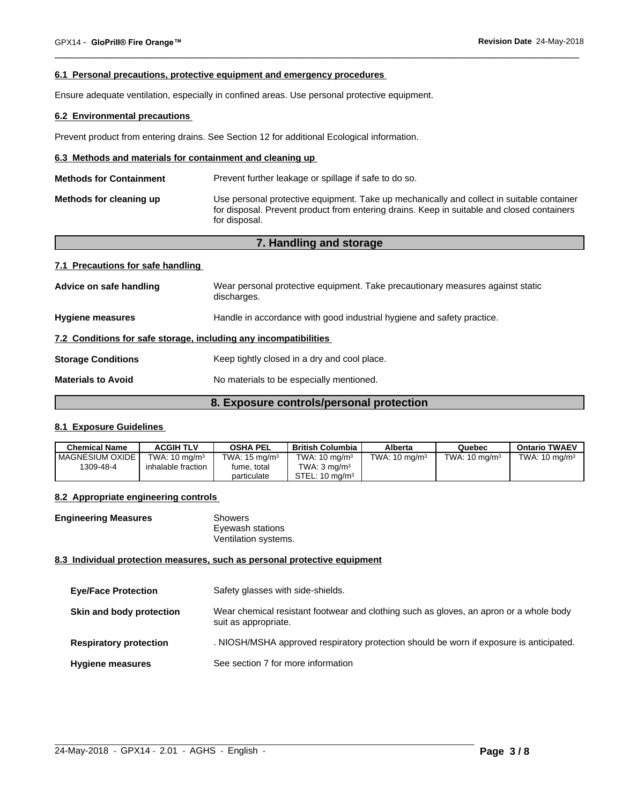#### **6.1 Personal precautions, protective equipment and emergency procedures**

Ensure adequate ventilation, especially in confined areas. Use personal protective equipment.

#### **6.2 Environmental precautions**

Prevent product from entering drains. See Section 12 for additional Ecological information.

#### **6.3 Methods and materials for containment and cleaning up**

| <b>Methods for Containment</b> | Prevent further leakage or spillage if safe to do so.                                                                                                                                                    |
|--------------------------------|----------------------------------------------------------------------------------------------------------------------------------------------------------------------------------------------------------|
| Methods for cleaning up        | Use personal protective equipment. Take up mechanically and collect in suitable container<br>for disposal. Prevent product from entering drains. Keep in suitable and closed containers<br>for disposal. |

# **7. Handling and storage**

#### **7.1 Precautions for safe handling**

| Advice on safe handling                                          | Wear personal protective equipment. Take precautionary measures against static<br>discharges. |
|------------------------------------------------------------------|-----------------------------------------------------------------------------------------------|
| <b>Hygiene measures</b>                                          | Handle in accordance with good industrial hygiene and safety practice.                        |
| 7.2 Conditions for safe storage, including any incompatibilities |                                                                                               |
| <b>Storage Conditions</b>                                        | Keep tightly closed in a dry and cool place.                                                  |
| <b>Materials to Avoid</b>                                        | No materials to be especially mentioned.                                                      |

# **8. Exposure controls/personal protection**

#### **8.1 Exposure Guidelines**

| <b>Chemical Name</b> | <b>ACGIH TLV</b>         | <b>OSHA PEL</b>          | <b>British Columbia</b>   | Alberta                  | Quebec                   | <b>Ontario TWAEV</b>     |
|----------------------|--------------------------|--------------------------|---------------------------|--------------------------|--------------------------|--------------------------|
| I MAGNESIUM OXIDE    | TWA: $10 \text{ ma/m}^3$ | TWA: $15 \text{ ma/m}^3$ | TWA: $10 \text{ ma/m}^3$  | TWA: $10 \text{ ma/m}^3$ | TWA: $10 \text{ mg/m}^3$ | TWA: $10 \text{ ma/m}^3$ |
| 1309-48-4            | inhalable fraction       | fume, total              | TWA: $3 \text{ ma/m}^3$   |                          |                          |                          |
|                      |                          | particulate              | STEL: $10 \text{ ma/m}^3$ |                          |                          |                          |

#### **8.2 Appropriate engineering controls**

| <b>Engineering Measures</b> | Showers              |  |
|-----------------------------|----------------------|--|
|                             | Eyewash stations     |  |
|                             | Ventilation systems. |  |

#### **8.3 Individual protection measures, such as personal protective equipment**

| <b>Eye/Face Protection</b>    | Safety glasses with side-shields.                                                                              |
|-------------------------------|----------------------------------------------------------------------------------------------------------------|
| Skin and body protection      | Wear chemical resistant footwear and clothing such as gloves, an apron or a whole body<br>suit as appropriate. |
| <b>Respiratory protection</b> | . NIOSH/MSHA approved respiratory protection should be worn if exposure is anticipated.                        |
| <b>Hygiene measures</b>       | See section 7 for more information                                                                             |

 $\_$  ,  $\_$  ,  $\_$  ,  $\_$  ,  $\_$  ,  $\_$  ,  $\_$  ,  $\_$  ,  $\_$  ,  $\_$  ,  $\_$  ,  $\_$  ,  $\_$  ,  $\_$  ,  $\_$  ,  $\_$  ,  $\_$  ,  $\_$  ,  $\_$  ,  $\_$  ,  $\_$  ,  $\_$  ,  $\_$  ,  $\_$  ,  $\_$  ,  $\_$  ,  $\_$  ,  $\_$  ,  $\_$  ,  $\_$  ,  $\_$  ,  $\_$  ,  $\_$  ,  $\_$  ,  $\_$  ,  $\_$  ,  $\_$  ,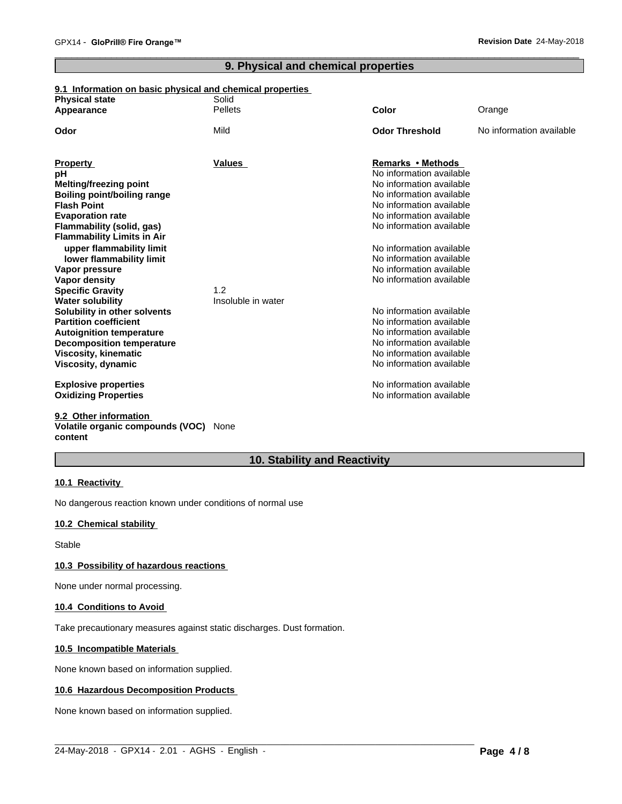# **9. Physical and chemical properties**

# **9.1 Information on basic physical and chemical properties**

| <b>Physical state</b>                                    | Solid              |                                                      |                          |
|----------------------------------------------------------|--------------------|------------------------------------------------------|--------------------------|
| Appearance                                               | Pellets            | Color                                                | Orange                   |
| Odor                                                     | Mild               | <b>Odor Threshold</b>                                | No information available |
|                                                          |                    |                                                      |                          |
| <b>Property</b>                                          | <b>Values</b>      | <b>Remarks • Methods</b><br>No information available |                          |
| pH                                                       |                    | No information available                             |                          |
| <b>Melting/freezing point</b>                            |                    | No information available                             |                          |
| <b>Boiling point/boiling range</b><br><b>Flash Point</b> |                    | No information available                             |                          |
| <b>Evaporation rate</b>                                  |                    | No information available                             |                          |
| Flammability (solid, gas)                                |                    | No information available                             |                          |
| <b>Flammability Limits in Air</b>                        |                    |                                                      |                          |
| upper flammability limit                                 |                    | No information available                             |                          |
| lower flammability limit                                 |                    | No information available                             |                          |
| Vapor pressure                                           |                    | No information available                             |                          |
| Vapor density                                            |                    | No information available                             |                          |
| <b>Specific Gravity</b>                                  | 1.2                |                                                      |                          |
| <b>Water solubility</b>                                  | Insoluble in water |                                                      |                          |
| Solubility in other solvents                             |                    | No information available                             |                          |
| <b>Partition coefficient</b>                             |                    | No information available                             |                          |
| <b>Autoignition temperature</b>                          |                    | No information available                             |                          |
| <b>Decomposition temperature</b>                         |                    | No information available                             |                          |
| <b>Viscosity, kinematic</b>                              |                    | No information available                             |                          |
| Viscosity, dynamic                                       |                    | No information available                             |                          |
| <b>Explosive properties</b>                              |                    | No information available                             |                          |
| <b>Oxidizing Properties</b>                              |                    | No information available                             |                          |
| 9.2 Other information                                    |                    |                                                      |                          |

# **Volatile organic compounds (VOC)** None **content**

# **10. Stability and Reactivity**

#### **10.1 Reactivity**

No dangerous reaction known under conditions of normal use

# **10.2 Chemical stability**

Stable

#### **10.3 Possibility of hazardous reactions**

None under normal processing.

#### **10.4 Conditions to Avoid**

Take precautionary measures against static discharges. Dust formation.

#### **10.5 Incompatible Materials**

None known based on information supplied.

#### **10.6 Hazardous Decomposition Products**

None known based on information supplied.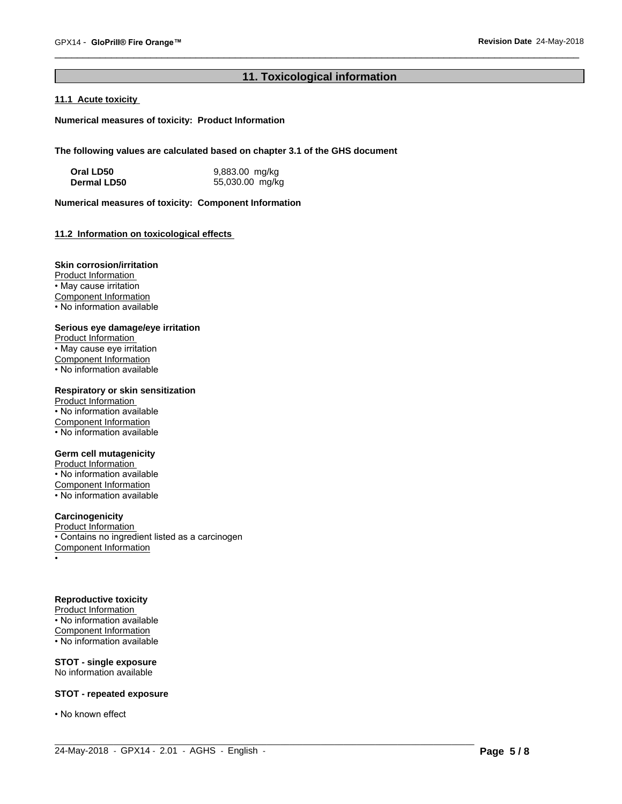# **11. Toxicological information**

 $\_$  ,  $\_$  ,  $\_$  ,  $\_$  ,  $\_$  ,  $\_$  ,  $\_$  ,  $\_$  ,  $\_$  ,  $\_$  ,  $\_$  ,  $\_$  ,  $\_$  ,  $\_$  ,  $\_$  ,  $\_$  ,  $\_$  ,  $\_$  ,  $\_$  ,  $\_$  ,  $\_$  ,  $\_$  ,  $\_$  ,  $\_$  ,  $\_$  ,  $\_$  ,  $\_$  ,  $\_$  ,  $\_$  ,  $\_$  ,  $\_$  ,  $\_$  ,  $\_$  ,  $\_$  ,  $\_$  ,  $\_$  ,  $\_$  ,

#### **11.1 Acute toxicity**

**Numerical measures of toxicity: Product Information**

**The following values are calculated based on chapter 3.1 of the GHS document**

| Oral LD50   | 9,883.00 mg/kg  |
|-------------|-----------------|
| Dermal LD50 | 55,030.00 mg/kg |

**Numerical measures of toxicity: Component Information**

#### **11.2 Information on toxicologicaleffects**

#### **Skin corrosion/irritation**

Product Information • May cause irritation Component Information • No information available

#### **Serious eye damage/eye irritation**

Product Information • May cause eye irritation Component Information • No information available

#### **Respiratory or skin sensitization**

Product Information • No information available Component Information  $\overline{\cdot}$  No information available

#### **Germ cell mutagenicity**

Product Information • No information available Component Information • No information available

#### **Carcinogenicity**

Product Information • Contains no ingredient listed as a carcinogen Component Information •

#### **Reproductive toxicity**

Product Information • No information available Component Information • No information available

#### **STOT - single exposure** No information available

#### **STOT - repeated exposure**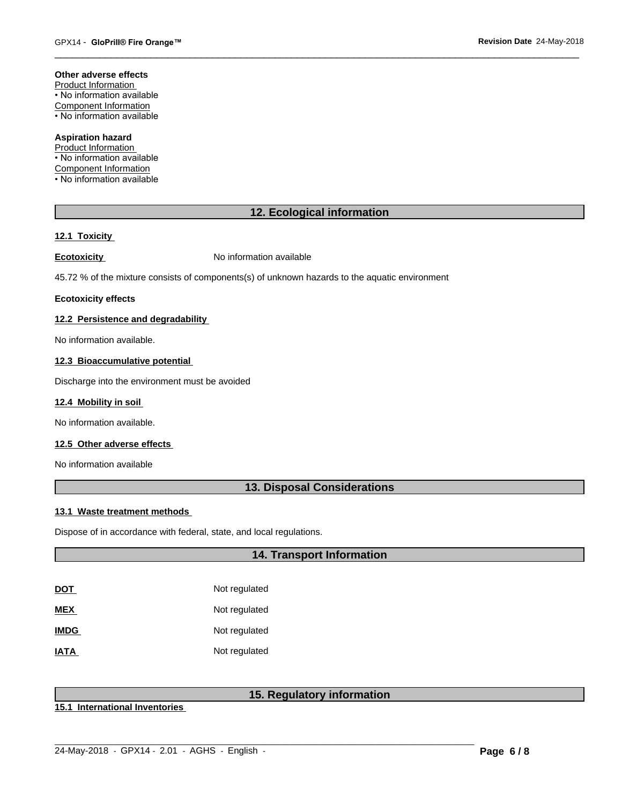#### **Other adverse effects**

Product Information • No information available Component Information • No information available

#### **Aspiration hazard**

Product Information • No information available Component Information • No information available

# **12. Ecological information**

#### **12.1 Toxicity**

**Ecotoxicity No information available** 

45.72 % of the mixture consists of components(s) of unknown hazards to the aquatic environment

#### **Ecotoxicity effects**

#### **12.2 Persistence and degradability**

No information available.

#### **12.3 Bioaccumulative potential**

Discharge into the environment must be avoided

#### **12.4 Mobility in soil**

No information available.

#### **12.5 Other adverse effects**

No information available

# **13. Disposal Considerations**

#### **13.1 Waste treatment methods**

Dispose of in accordance with federal, state, and local regulations.

# **14. Transport Information**

| DOT         | Not regulated |
|-------------|---------------|
| MEX         | Not regulated |
| <b>IMDG</b> | Not regulated |
| IATA        | Not regulated |

# **15. Regulatory information**

 $\_$  ,  $\_$  ,  $\_$  ,  $\_$  ,  $\_$  ,  $\_$  ,  $\_$  ,  $\_$  ,  $\_$  ,  $\_$  ,  $\_$  ,  $\_$  ,  $\_$  ,  $\_$  ,  $\_$  ,  $\_$  ,  $\_$  ,  $\_$  ,  $\_$  ,  $\_$  ,  $\_$  ,  $\_$  ,  $\_$  ,  $\_$  ,  $\_$  ,  $\_$  ,  $\_$  ,  $\_$  ,  $\_$  ,  $\_$  ,  $\_$  ,  $\_$  ,  $\_$  ,  $\_$  ,  $\_$  ,  $\_$  ,  $\_$  ,

**15.1 International Inventories**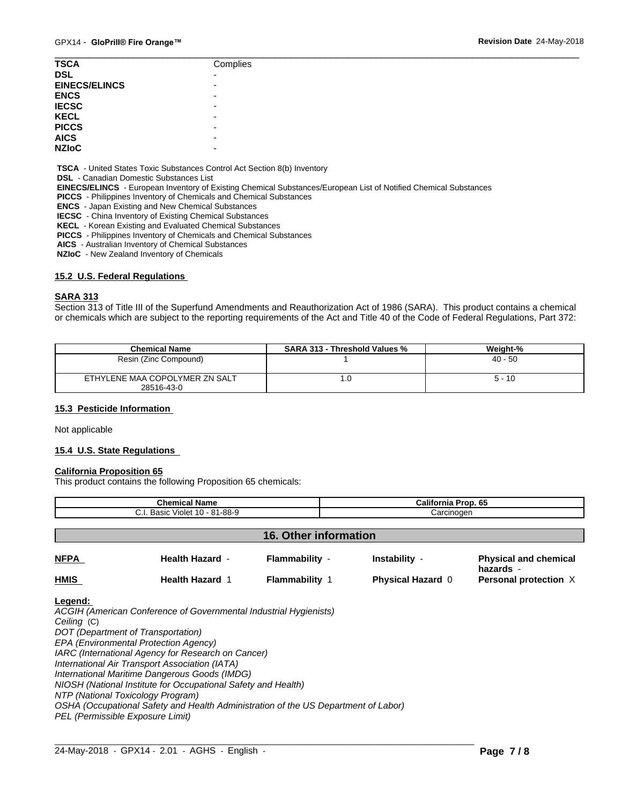| <b>TSCA</b>          | Complies                 |
|----------------------|--------------------------|
| <b>DSL</b>           | $\overline{\phantom{0}}$ |
| <b>EINECS/ELINCS</b> | $\overline{\phantom{0}}$ |
| <b>ENCS</b>          |                          |
| <b>IECSC</b>         | -                        |
| <b>KECL</b>          | -                        |
| <b>PICCS</b>         |                          |
| <b>AICS</b>          |                          |
| <b>NZIOC</b>         |                          |
|                      |                          |

 **TSCA** - United States Toxic Substances Control Act Section 8(b) Inventory

 **DSL** - Canadian Domestic Substances List

 **EINECS/ELINCS** - European Inventory of Existing Chemical Substances/European List of Notified Chemical Substances

 **PICCS** - Philippines Inventory of Chemicals and Chemical Substances

 **ENCS** - Japan Existing and New Chemical Substances

 **IECSC** - China Inventory of Existing Chemical Substances

 **KECL** - Korean Existing and Evaluated Chemical Substances

 **PICCS** - Philippines Inventory of Chemicals and Chemical Substances

 **AICS** - Australian Inventory of Chemical Substances

 **NZIoC** - New Zealand Inventory of Chemicals

#### **15.2 U.S. Federal Regulations**

#### **SARA 313**

Section 313 of Title III of the Superfund Amendments and Reauthorization Act of 1986 (SARA). This product contains a chemical or chemicals which are subject to the reporting requirements of the Act and Title 40 of the Code of Federal Regulations, Part 372:

| <b>Chemical Name</b>                         | <b>SARA 313 - Threshold Values %</b> | Weight-%  |
|----------------------------------------------|--------------------------------------|-----------|
| Resin (Zinc Compound)                        |                                      | $40 - 50$ |
| ETHYLENE MAA COPOLYMER ZN SALT<br>28516-43-0 | .u                                   | $5 - 10$  |

#### **15.3 Pesticide Information**

Not applicable

#### **15.4 U.S. State Regulations**

#### **California Proposition 65**

This product contains the following Proposition 65 chemicals:

| <b>Chemical Name</b><br>C.I. Basic Violet 10 - 81-88-9 |                        |                       | California Prop. 65<br>Carcinogen |                                           |  |
|--------------------------------------------------------|------------------------|-----------------------|-----------------------------------|-------------------------------------------|--|
|                                                        |                        |                       |                                   |                                           |  |
| 16. Other information                                  |                        |                       |                                   |                                           |  |
| <b>NFPA</b>                                            | <b>Health Hazard -</b> | Flammability -        | Instability -                     | <b>Physical and chemical</b><br>hazards - |  |
| <b>HMIS</b>                                            | <b>Health Hazard 1</b> | <b>Flammability 1</b> | <b>Physical Hazard 0</b>          | Personal protection X                     |  |
|                                                        |                        |                       |                                   |                                           |  |

 $\_$  ,  $\_$  ,  $\_$  ,  $\_$  ,  $\_$  ,  $\_$  ,  $\_$  ,  $\_$  ,  $\_$  ,  $\_$  ,  $\_$  ,  $\_$  ,  $\_$  ,  $\_$  ,  $\_$  ,  $\_$  ,  $\_$  ,  $\_$  ,  $\_$  ,  $\_$  ,  $\_$  ,  $\_$  ,  $\_$  ,  $\_$  ,  $\_$  ,  $\_$  ,  $\_$  ,  $\_$  ,  $\_$  ,  $\_$  ,  $\_$  ,  $\_$  ,  $\_$  ,  $\_$  ,  $\_$  ,  $\_$  ,  $\_$  ,

#### **Legend:**

*ACGIH (American Conference of Governmental Industrial Hygienists) Ceiling* (C) *DOT (Department of Transportation) EPA (Environmental Protection Agency) IARC (International Agency for Research on Cancer) International Air Transport Association (IATA) International Maritime Dangerous Goods (IMDG) NIOSH (National Institute for Occupational Safety and Health) NTP (National Toxicology Program) OSHA (Occupational Safety and Health Administration of the US Department of Labor) PEL (Permissible Exposure Limit)*